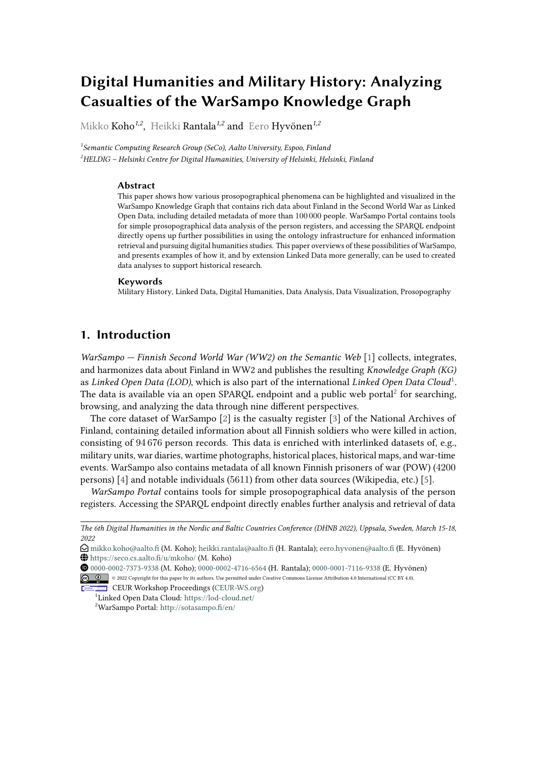# **Digital Humanities and Military History: Analyzing Casualties of the WarSampo Knowledge Graph**

Mikko Koho*1,2* , Heikki Rantala*1,2* and Eero Hyvönen*1,2*

*1 Semantic Computing Research Group (SeCo), Aalto University, Espoo, Finland <sup>2</sup>HELDIG – Helsinki Centre for Digital Humanities, University of Helsinki, Helsinki, Finland*

#### **Abstract**

This paper shows how various prosopographical phenomena can be highlighted and visualized in the WarSampo Knowledge Graph that contains rich data about Finland in the Second World War as Linked Open Data, including detailed metadata of more than 100 000 people. WarSampo Portal contains tools for simple prosopographical data analysis of the person registers, and accessing the SPARQL endpoint directly opens up further possibilities in using the ontology infrastructure for enhanced information retrieval and pursuing digital humanities studies. This paper overviews of these possibilities of WarSampo, and presents examples of how it, and by extension Linked Data more generally, can be used to created data analyses to support historical research.

#### **Keywords**

Military History, Linked Data, Digital Humanities, Data Analysis, Data Visualization, Prosopography

# **1. Introduction**

*WarSampo — Finnish Second World War (WW2) on the Semantic Web* [\[1\]](#page-7-0) collects, integrates, and harmonizes data about Finland in WW2 and publishes the resulting *Knowledge Graph (KG)* as *Linked Open Data (LOD)*, which is also part of the international *Linked Open Data Cloud*[1](#page-0-0) . The data is available via an open SPARQL endpoint and a public web portal $^2$  $^2$  for searching, browsing, and analyzing the data through nine different perspectives.

The core dataset of WarSampo [\[2\]](#page-7-1) is the casualty register [\[3\]](#page-7-2) of the National Archives of Finland, containing detailed information about all Finnish soldiers who were killed in action, consisting of 94 676 person records. This data is enriched with interlinked datasets of, e.g., military units, war diaries, wartime photographs, historical places, historical maps, and war-time events. WarSampo also contains metadata of all known Finnish prisoners of war (POW) (4200 persons) [\[4\]](#page-7-3) and notable individuals (5611) from other data sources (Wikipedia, etc.) [\[5\]](#page-7-4).

*WarSampo Portal* contains tools for simple prosopographical data analysis of the person registers. Accessing the SPARQL endpoint directly enables further analysis and retrieval of data

**CEUR Workshop [Proceedings](http://ceur-ws.org) [\(CEUR-WS.org\)](http://ceur-ws.org)** <sup>1</sup>Linked Open Data Cloud: <https://lod-cloud.net/>

<span id="page-0-1"></span><span id="page-0-0"></span><sup>2</sup>WarSampo Portal: <http://sotasampo.fi/en/>

*The 6th Digital Humanities in the Nordic and Baltic Countries Conference (DHNB 2022), Uppsala, Sweden, March 15-18, 2022*

 $\bigcirc$  [mikko.koho@aalto.fi](mailto:mikko.koho@aalto.fi) (M. Koho); [heikki.rantala@aalto.fi](mailto:heikki.rantala@aalto.fi) (H. Rantala); [eero.hyvonen@aalto.fi](mailto:eero.hyvonen@aalto.fi) (E. Hyvönen) <https://seco.cs.aalto.fi/u/mkoho/> (M. Koho)

[0000-0002-7373-9338](https://orcid.org/0000-0002-7373-9338) (M. Koho); [0000-0002-4716-6564](https://orcid.org/0000-0002-4716-6564) (H. Rantala); [0000-0001-7116-9338](https://orcid.org/0000-0001-7116-9338) (E. Hyvönen)

<sup>©</sup> 2022 Copyright for this paper by its authors. Use permitted under Creative Commons License Attribution 4.0 International (CC BY 4.0).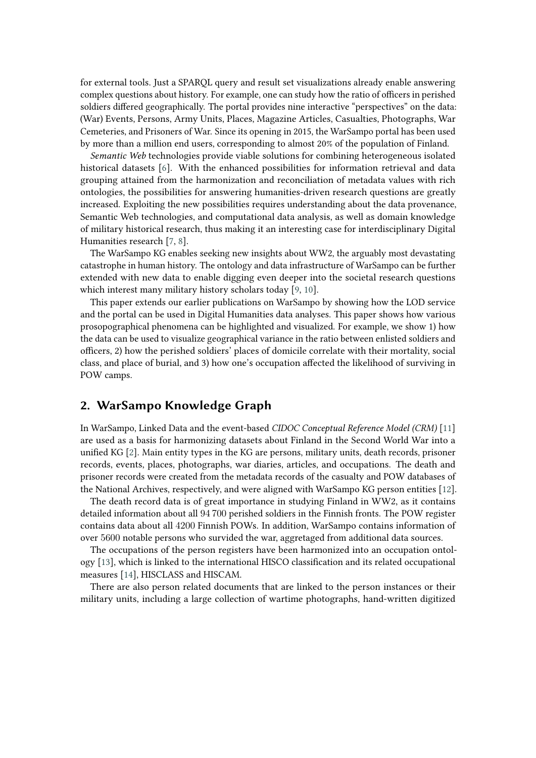for external tools. Just a SPARQL query and result set visualizations already enable answering complex questions about history. For example, one can study how the ratio of officers in perished soldiers differed geographically. The portal provides nine interactive "perspectives" on the data: (War) Events, Persons, Army Units, Places, Magazine Articles, Casualties, Photographs, War Cemeteries, and Prisoners of War. Since its opening in 2015, the WarSampo portal has been used by more than a million end users, corresponding to almost 20% of the population of Finland.

*Semantic Web* technologies provide viable solutions for combining heterogeneous isolated historical datasets [\[6\]](#page-8-0). With the enhanced possibilities for information retrieval and data grouping attained from the harmonization and reconciliation of metadata values with rich ontologies, the possibilities for answering humanities-driven research questions are greatly increased. Exploiting the new possibilities requires understanding about the data provenance, Semantic Web technologies, and computational data analysis, as well as domain knowledge of military historical research, thus making it an interesting case for interdisciplinary Digital Humanities research [\[7,](#page-8-1) [8\]](#page-8-2).

The WarSampo KG enables seeking new insights about WW2, the arguably most devastating catastrophe in human history. The ontology and data infrastructure of WarSampo can be further extended with new data to enable digging even deeper into the societal research questions which interest many military history scholars today [\[9,](#page-8-3) [10\]](#page-8-4).

This paper extends our earlier publications on WarSampo by showing how the LOD service and the portal can be used in Digital Humanities data analyses. This paper shows how various prosopographical phenomena can be highlighted and visualized. For example, we show 1) how the data can be used to visualize geographical variance in the ratio between enlisted soldiers and officers, 2) how the perished soldiers' places of domicile correlate with their mortality, social class, and place of burial, and 3) how one's occupation affected the likelihood of surviving in POW camps.

## **2. WarSampo Knowledge Graph**

In WarSampo, Linked Data and the event-based *CIDOC Conceptual Reference Model (CRM)* [\[11\]](#page-8-5) are used as a basis for harmonizing datasets about Finland in the Second World War into a unified KG [\[2\]](#page-7-1). Main entity types in the KG are persons, military units, death records, prisoner records, events, places, photographs, war diaries, articles, and occupations. The death and prisoner records were created from the metadata records of the casualty and POW databases of the National Archives, respectively, and were aligned with WarSampo KG person entities [\[12\]](#page-8-6).

The death record data is of great importance in studying Finland in WW2, as it contains detailed information about all 94 700 perished soldiers in the Finnish fronts. The POW register contains data about all 4200 Finnish POWs. In addition, WarSampo contains information of over 5600 notable persons who survided the war, aggretaged from additional data sources.

The occupations of the person registers have been harmonized into an occupation ontology [\[13\]](#page-8-7), which is linked to the international HISCO classification and its related occupational measures [\[14\]](#page-8-8), HISCLASS and HISCAM.

There are also person related documents that are linked to the person instances or their military units, including a large collection of wartime photographs, hand-written digitized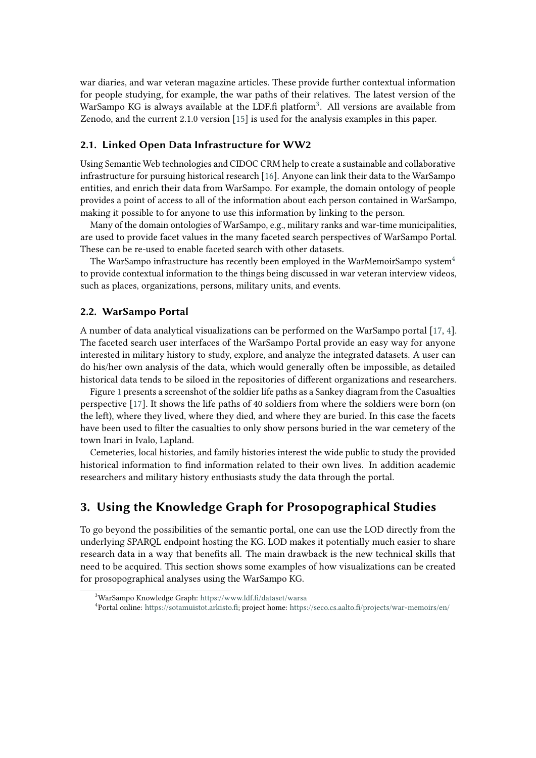war diaries, and war veteran magazine articles. These provide further contextual information for people studying, for example, the war paths of their relatives. The latest version of the WarSampo KG is always available at the LDF.fi platform<sup>[3](#page-2-0)</sup>. All versions are available from Zenodo, and the current 2.1.0 version [\[15\]](#page-8-9) is used for the analysis examples in this paper.

#### **2.1. Linked Open Data Infrastructure for WW2**

Using Semantic Web technologies and CIDOC CRM help to create a sustainable and collaborative infrastructure for pursuing historical research [\[16\]](#page-8-10). Anyone can link their data to the WarSampo entities, and enrich their data from WarSampo. For example, the domain ontology of people provides a point of access to all of the information about each person contained in WarSampo, making it possible to for anyone to use this information by linking to the person.

Many of the domain ontologies of WarSampo, e.g., military ranks and war-time municipalities, are used to provide facet values in the many faceted search perspectives of WarSampo Portal. These can be re-used to enable faceted search with other datasets.

The WarSampo infrastructure has recently been employed in the WarMemoirSampo system<sup>[4](#page-2-1)</sup> to provide contextual information to the things being discussed in war veteran interview videos, such as places, organizations, persons, military units, and events.

### **2.2. WarSampo Portal**

A number of data analytical visualizations can be performed on the WarSampo portal [\[17,](#page-8-11) [4\]](#page-7-3). The faceted search user interfaces of the WarSampo Portal provide an easy way for anyone interested in military history to study, explore, and analyze the integrated datasets. A user can do his/her own analysis of the data, which would generally often be impossible, as detailed historical data tends to be siloed in the repositories of different organizations and researchers.

Figure [1](#page-3-0) presents a screenshot of the soldier life paths as a Sankey diagram from the Casualties perspective [\[17\]](#page-8-11). It shows the life paths of 40 soldiers from where the soldiers were born (on the left), where they lived, where they died, and where they are buried. In this case the facets have been used to filter the casualties to only show persons buried in the war cemetery of the town Inari in Ivalo, Lapland.

Cemeteries, local histories, and family histories interest the wide public to study the provided historical information to find information related to their own lives. In addition academic researchers and military history enthusiasts study the data through the portal.

# **3. Using the Knowledge Graph for Prosopographical Studies**

To go beyond the possibilities of the semantic portal, one can use the LOD directly from the underlying SPARQL endpoint hosting the KG. LOD makes it potentially much easier to share research data in a way that benefits all. The main drawback is the new technical skills that need to be acquired. This section shows some examples of how visualizations can be created for prosopographical analyses using the WarSampo KG.

<span id="page-2-0"></span><sup>3</sup>WarSampo Knowledge Graph: <https://www.ldf.fi/dataset/warsa>

<span id="page-2-1"></span><sup>4</sup> Portal online: [https://sotamuistot.arkisto.fi;](https://sotamuistot.arkisto.fi) project home: <https://seco.cs.aalto.fi/projects/war-memoirs/en/>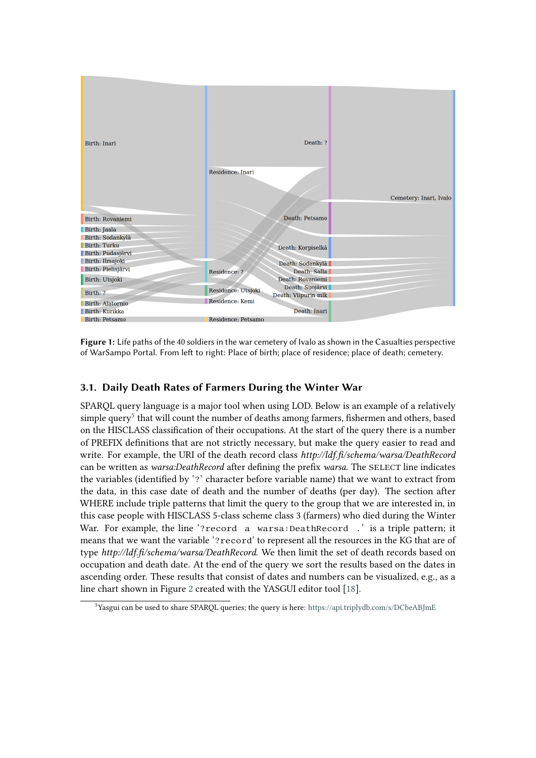

<span id="page-3-0"></span>**Figure 1:** Life paths of the 40 soldiers in the war cemetery of Ivalo as shown in the Casualties perspective of WarSampo Portal. From left to right: Place of birth; place of residence; place of death; cemetery.

# **3.1. Daily Death Rates of Farmers During the Winter War**

SPARQL query language is a major tool when using LOD. Below is an example of a relatively simple  $query<sup>5</sup>$  $query<sup>5</sup>$  $query<sup>5</sup>$  that will count the number of deaths among farmers, fishermen and others, based on the HISCLASS classification of their occupations. At the start of the query there is a number of PREFIX definitions that are not strictly necessary, but make the query easier to read and write. For example, the URI of the death record class *http://ldf.fi/schema/warsa/DeathRecord* can be written as *warsa:DeathRecord* after defining the prefix *warsa*. The SELECT line indicates the variables (identified by '?' character before variable name) that we want to extract from the data, in this case date of death and the number of deaths (per day). The section after WHERE include triple patterns that limit the query to the group that we are interested in, in this case people with HISCLASS 5-class scheme class 3 (farmers) who died during the Winter War. For example, the line '?record a warsa:DeathRecord .' is a triple pattern; it means that we want the variable '?record' to represent all the resources in the KG that are of type *http://ldf.fi/schema/warsa/DeathRecord*. We then limit the set of death records based on occupation and death date. At the end of the query we sort the results based on the dates in ascending order. These results that consist of dates and numbers can be visualized, e.g., as a line chart shown in Figure [2](#page-4-0) created with the YASGUI editor tool [\[18\]](#page-8-12).

<span id="page-3-1"></span><sup>5</sup>Yasgui can be used to share SPARQL queries; the query is here: <https://api.triplydb.com/s/DCbeABJmE>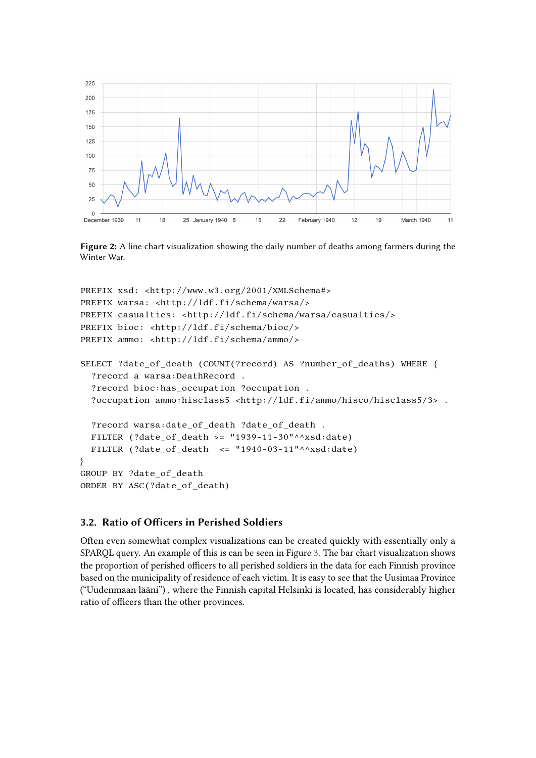

<span id="page-4-0"></span>**Figure 2:** A line chart visualization showing the daily number of deaths among farmers during the Winter War.

```
PREFIX xsd: <http://www.w3.org/2001/XMLSchema#>
PREFIX warsa: <http://ldf.fi/schema/warsa/>
PREFIX casualties: <http://ldf.fi/schema/warsa/casualties/>
PREFIX bioc: <http://ldf.fi/schema/bioc/>
PREFIX ammo: <http://ldf.fi/schema/ammo/>
SELECT ?date_of_death (COUNT(?record) AS ?number_of_deaths) WHERE {
  ?record a warsa:DeathRecord .
  ?record bioc:has_occupation ?occupation .
  ?occupation ammo:hisclass5 <http://ldf.fi/ammo/hisco/hisclass5/3> .
  ?record warsa:date_of_death ?date_of_death .
  FILTER (?date_of_death >= "1939-11-30"^^xsd:date)
  FILTER (?date of death \leq "1940-03-11"^^xsd:date)
}
GROUP BY ?date_of_death
ORDER BY ASC(?date_of_death)
```
### **3.2. Ratio of Officers in Perished Soldiers**

Often even somewhat complex visualizations can be created quickly with essentially only a SPARQL query. An example of this is can be seen in Figure [3.](#page-5-0) The bar chart visualization shows the proportion of perished officers to all perished soldiers in the data for each Finnish province based on the municipality of residence of each victim. It is easy to see that the Uusimaa Province ("Uudenmaan lääni") , where the Finnish capital Helsinki is located, has considerably higher ratio of officers than the other provinces.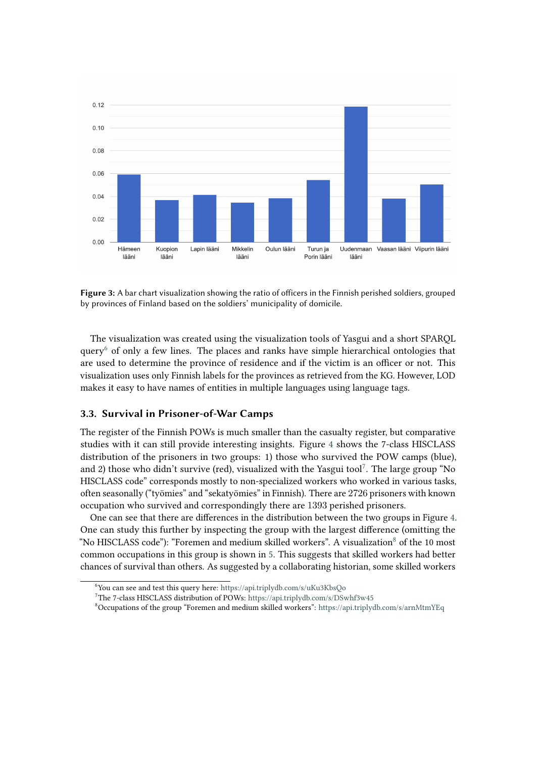

<span id="page-5-0"></span>**Figure 3:** A bar chart visualization showing the ratio of officers in the Finnish perished soldiers, grouped by provinces of Finland based on the soldiers' municipality of domicile.

The visualization was created using the visualization tools of Yasgui and a short SPARQL query $6$  of only a few lines. The places and ranks have simple hierarchical ontologies that are used to determine the province of residence and if the victim is an officer or not. This visualization uses only Finnish labels for the provinces as retrieved from the KG. However, LOD makes it easy to have names of entities in multiple languages using language tags.

#### **3.3. Survival in Prisoner-of-War Camps**

The register of the Finnish POWs is much smaller than the casualty register, but comparative studies with it can still provide interesting insights. Figure [4](#page-6-0) shows the 7-class HISCLASS distribution of the prisoners in two groups: 1) those who survived the POW camps (blue), and 2) those who didn't survive (red), visualized with the Yasgui tool<sup>[7](#page-5-2)</sup>. The large group "No HISCLASS code" corresponds mostly to non-specialized workers who worked in various tasks, often seasonally ("työmies" and "sekatyömies" in Finnish). There are 2726 prisoners with known occupation who survived and correspondingly there are 1393 perished prisoners.

One can see that there are differences in the distribution between the two groups in Figure [4.](#page-6-0) One can study this further by inspecting the group with the largest difference (omitting the "No HISCLASS code"): "Foremen and medium skilled workers". A visualization $8$  of the 10 most common occupations in this group is shown in [5.](#page-6-1) This suggests that skilled workers had better chances of survival than others. As suggested by a collaborating historian, some skilled workers

<span id="page-5-1"></span><sup>6</sup>You can see and test this query here: <https://api.triplydb.com/s/uKu3KbsQo>

<span id="page-5-2"></span><sup>7</sup>The 7-class HISCLASS distribution of POWs: <https://api.triplydb.com/s/DSwhf3w45>

<span id="page-5-3"></span><sup>8</sup>Occupations of the group "Foremen and medium skilled workers": <https://api.triplydb.com/s/arnMtmYEq>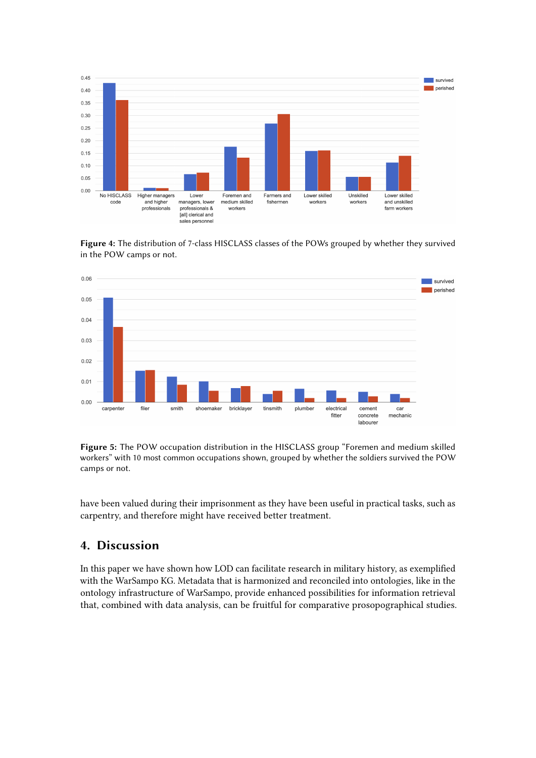

<span id="page-6-0"></span>**Figure 4:** The distribution of 7-class HISCLASS classes of the POWs grouped by whether they survived in the POW camps or not.



<span id="page-6-1"></span>**Figure 5:** The POW occupation distribution in the HISCLASS group "Foremen and medium skilled workers" with 10 most common occupations shown, grouped by whether the soldiers survived the POW camps or not.

have been valued during their imprisonment as they have been useful in practical tasks, such as carpentry, and therefore might have received better treatment.

### **4. Discussion**

In this paper we have shown how LOD can facilitate research in military history, as exemplified with the WarSampo KG. Metadata that is harmonized and reconciled into ontologies, like in the ontology infrastructure of WarSampo, provide enhanced possibilities for information retrieval that, combined with data analysis, can be fruitful for comparative prosopographical studies.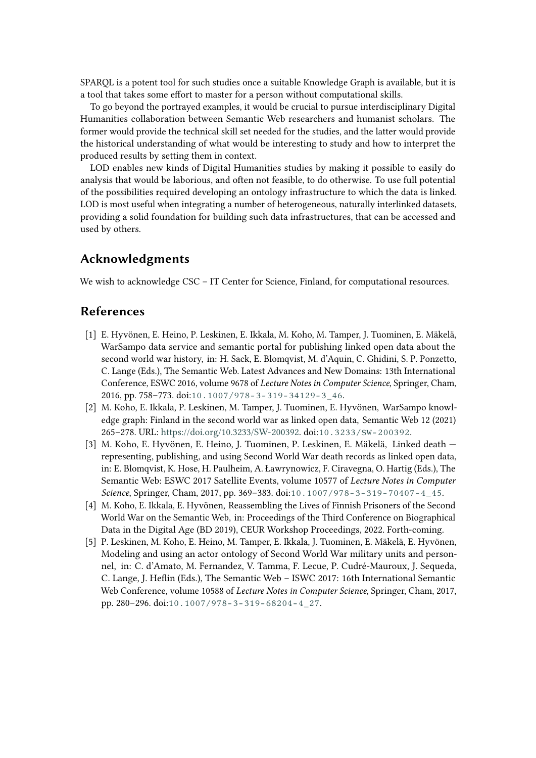SPARQL is a potent tool for such studies once a suitable Knowledge Graph is available, but it is a tool that takes some effort to master for a person without computational skills.

To go beyond the portrayed examples, it would be crucial to pursue interdisciplinary Digital Humanities collaboration between Semantic Web researchers and humanist scholars. The former would provide the technical skill set needed for the studies, and the latter would provide the historical understanding of what would be interesting to study and how to interpret the produced results by setting them in context.

LOD enables new kinds of Digital Humanities studies by making it possible to easily do analysis that would be laborious, and often not feasible, to do otherwise. To use full potential of the possibilities required developing an ontology infrastructure to which the data is linked. LOD is most useful when integrating a number of heterogeneous, naturally interlinked datasets, providing a solid foundation for building such data infrastructures, that can be accessed and used by others.

# **Acknowledgments**

We wish to acknowledge CSC – IT Center for Science, Finland, for computational resources.

# **References**

- <span id="page-7-0"></span>[1] E. Hyvönen, E. Heino, P. Leskinen, E. Ikkala, M. Koho, M. Tamper, J. Tuominen, E. Mäkelä, WarSampo data service and semantic portal for publishing linked open data about the second world war history, in: H. Sack, E. Blomqvist, M. d'Aquin, C. Ghidini, S. P. Ponzetto, C. Lange (Eds.), The Semantic Web. Latest Advances and New Domains: 13th International Conference, ESWC 2016, volume 9678 of *Lecture Notes in Computer Science*, Springer, Cham, 2016, pp. 758–773. doi:[10.1007/978-3-319-34129-3\\_46](http://dx.doi.org/10.1007/978-3-319-34129-3_46).
- <span id="page-7-1"></span>[2] M. Koho, E. Ikkala, P. Leskinen, M. Tamper, J. Tuominen, E. Hyvönen, WarSampo knowledge graph: Finland in the second world war as linked open data, Semantic Web 12 (2021) 265–278. URL: [https://doi.org/10.3233/SW-200392.](https://doi.org/10.3233/SW-200392) doi:[10.3233/SW-200392](http://dx.doi.org/10.3233/SW-200392).
- <span id="page-7-2"></span>[3] M. Koho, E. Hyvönen, E. Heino, J. Tuominen, P. Leskinen, E. Mäkelä, Linked death representing, publishing, and using Second World War death records as linked open data, in: E. Blomqvist, K. Hose, H. Paulheim, A. Ławrynowicz, F. Ciravegna, O. Hartig (Eds.), The Semantic Web: ESWC 2017 Satellite Events, volume 10577 of *Lecture Notes in Computer Science*, Springer, Cham, 2017, pp. 369–383. doi:[10.1007/978-3-319-70407-4\\_45](http://dx.doi.org/10.1007/978-3-319-70407-4_45).
- <span id="page-7-3"></span>[4] M. Koho, E. Ikkala, E. Hyvönen, Reassembling the Lives of Finnish Prisoners of the Second World War on the Semantic Web, in: Proceedings of the Third Conference on Biographical Data in the Digital Age (BD 2019), CEUR Workshop Proceedings, 2022. Forth-coming.
- <span id="page-7-4"></span>[5] P. Leskinen, M. Koho, E. Heino, M. Tamper, E. Ikkala, J. Tuominen, E. Mäkelä, E. Hyvönen, Modeling and using an actor ontology of Second World War military units and personnel, in: C. d'Amato, M. Fernandez, V. Tamma, F. Lecue, P. Cudré-Mauroux, J. Sequeda, C. Lange, J. Heflin (Eds.), The Semantic Web – ISWC 2017: 16th International Semantic Web Conference, volume 10588 of *Lecture Notes in Computer Science*, Springer, Cham, 2017, pp. 280–296. doi:[10.1007/978-3-319-68204-4\\_27](http://dx.doi.org/10.1007/978-3-319-68204-4_27).